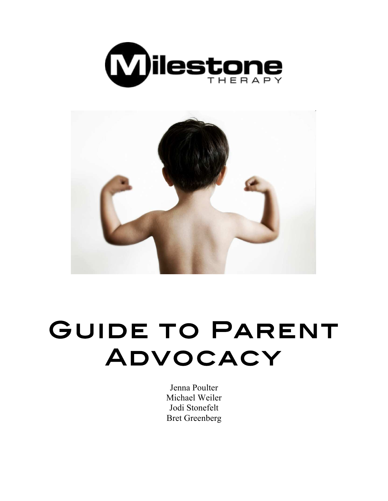



# Guide to Parent Advocacy

Jenna Poulter Michael Weiler Jodi Stonefelt Bret Greenberg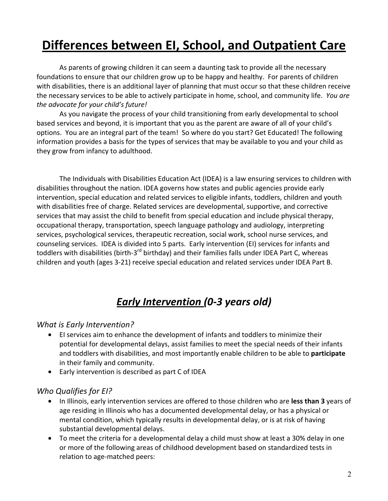## **Differences between EI, School, and Outpatient Care**

As parents of growing children it can seem a daunting task to provide all the necessary foundations to ensure that our children grow up to be happy and healthy. For parents of children with disabilities, there is an additional layer of planning that must occur so that these children receive the necessary services to be able to actively participate in home, school, and community life. You are the advocate for your child's future!

As you navigate the process of your child transitioning from early developmental to school based services and beyond, it is important that you as the parent are aware of all of your child's options. You are an integral part of the team! So where do you start? Get Educated! The following information provides a basis for the types of services that may be available to you and your child as they grow from infancy to adulthood.

The Individuals with Disabilities Education Act (IDEA) is a law ensuring services to children with disabilities throughout the nation. IDEA governs how states and public agencies provide early intervention, special education and related services to eligible infants, toddlers, children and youth with disabilities free of charge. Related services are developmental, supportive, and corrective services that may assist the child to benefit from special education and include physical therapy, occupational therapy, transportation, speech language pathology and audiology, interpreting services, psychological services, therapeutic recreation, social work, school nurse services, and counseling services. IDEA is divided into 5 parts. Early intervention (EI) services for infants and toddlers with disabilities (birth-3<sup>rd</sup> birthday) and their families falls under IDEA Part C, whereas children and youth (ages 3-21) receive special education and related services under IDEA Part B.

### Early Intervention (0-3 years old)

#### **What is Early Intervention?**

- El services aim to enhance the development of infants and toddlers to minimize their potential for developmental delays, assist families to meet the special needs of their infants and toddlers with disabilities, and most importantly enable children to be able to participate in their family and community.
- Early intervention is described as part C of IDEA

#### Who Qualifies for EI?

- In Illinois, early intervention services are offered to those children who are less than 3 years of age residing in Illinois who has a documented developmental delay, or has a physical or mental condition, which typically results in developmental delay, or is at risk of having substantial developmental delays.
- To meet the criteria for a developmental delay a child must show at least a 30% delay in one or more of the following areas of childhood development based on standardized tests in relation to age-matched peers: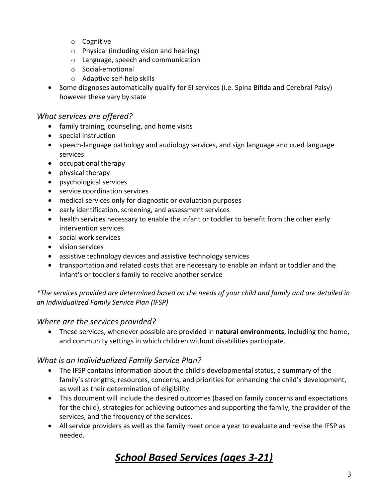- o Cognitive
- $\circ$  Physical (including vision and hearing)
- o Language, speech and communication
- o Social-emotional
- $\circ$  Adaptive self-help skills
- Some diagnoses automatically qualify for El services (i.e. Spina Bifida and Cerebral Palsy) however these vary by state

#### **What services are offered?**

- family training, counseling, and home visits
- special instruction
- speech-language pathology and audiology services, and sign language and cued language services
- occupational therapy
- physical therapy
- psychological services
- service coordination services
- medical services only for diagnostic or evaluation purposes
- early identification, screening, and assessment services
- health services necessary to enable the infant or toddler to benefit from the other early intervention services
- social work services
- vision services
- assistive technology devices and assistive technology services
- transportation and related costs that are necessary to enable an infant or toddler and the infant's or toddler's family to receive another service

\*The services provided are determined based on the needs of your child and family and are detailed in an Individualized Family Service Plan (IFSP)

#### *Where are the services provided?*

• These services, whenever possible are provided in **natural environments**, including the home, and community settings in which children without disabilities participate.

#### **What is an Individualized Family Service Plan?**

- The IFSP contains information about the child's developmental status, a summary of the family's strengths, resources, concerns, and priorities for enhancing the child's development, as well as their determination of eligibility.
- This document will include the desired outcomes (based on family concerns and expectations for the child), strategies for achieving outcomes and supporting the family, the provider of the services, and the frequency of the services.
- All service providers as well as the family meet once a year to evaluate and revise the IFSP as needed.

## School Based Services (ages 3-21)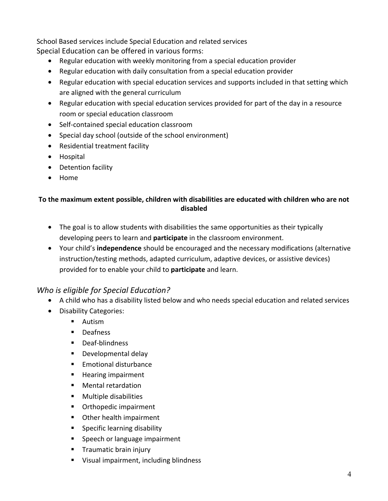School Based services include Special Education and related services

Special Education can be offered in various forms:

- Regular education with weekly monitoring from a special education provider
- Regular education with daily consultation from a special education provider
- Regular education with special education services and supports included in that setting which are aligned with the general curriculum
- Regular education with special education services provided for part of the day in a resource room or special education classroom
- Self-contained special education classroom
- Special day school (outside of the school environment)
- Residential treatment facility
- Hospital
- Detention facility
- Home

#### To the maximum extent possible, children with disabilities are educated with children who are not **disabled**

- The goal is to allow students with disabilities the same opportunities as their typically developing peers to learn and **participate** in the classroom environment.
- Your child's **independence** should be encouraged and the necessary modifications (alternative instruction/testing methods, adapted curriculum, adaptive devices, or assistive devices) provided for to enable your child to **participate** and learn.

#### **Who is eligible for Special Education?**

- A child who has a disability listed below and who needs special education and related services
- Disability Categories:
	- **Autism**
	- **Deafness**
	- Deaf-blindness
	- Developmental delay
	- Emotional disturbance
	- Hearing impairment
	- Mental retardation
	- **E** Multiple disabilities
	- **•** Orthopedic impairment
	- **•** Other health impairment
	- **Specific learning disability**
	- **Speech or language impairment**
	- **Traumatic brain injury**
	- Visual impairment, including blindness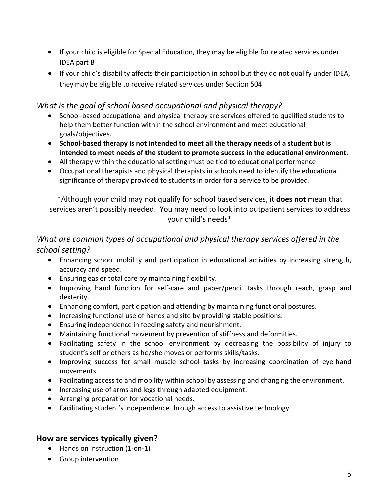- If your child is eligible for Special Education, they may be eligible for related services under **IDEA** part **B**
- If your child's disability affects their participation in school but they do not qualify under IDEA, they may be eligible to receive related services under Section 504

#### What is the goal of school based occupational and physical therapy?

- School-based occupational and physical therapy are services offered to qualified students to help them better function within the school environment and meet educational goals/objectives.
- School-based therapy is not intended to meet all the therapy needs of a student but is intended to meet needs of the student to promote success in the educational environment.
- All therapy within the educational setting must be tied to educational performance
- Occupational therapists and physical therapists in schools need to identify the educational significance of therapy provided to students in order for a service to be provided.

\*Although your child may not qualify for school based services, it **does not** mean that services aren't possibly needed. You may need to look into outpatient services to address your child's needs\*

#### What are common types of occupational and physical therapy services offered in the *school 
 setting?*

- Enhancing school mobility and participation in educational activities by increasing strength, accuracy and speed.
- Ensuring easier total care by maintaining flexibility.
- Improving hand function for self-care and paper/pencil tasks through reach, grasp and dexterity.
- Enhancing comfort, participation and attending by maintaining functional postures.
- Increasing functional use of hands and site by providing stable positions.
- Ensuring independence in feeding safety and nourishment.
- Maintaining functional movement by prevention of stiffness and deformities.
- Facilitating safety in the school environment by decreasing the possibility of injury to student's self or others as he/she moves or performs skills/tasks.
- Improving success for small muscle school tasks by increasing coordination of eye-hand movements.
- $\bullet$  Facilitating access to and mobility within school by assessing and changing the environment.
- Increasing use of arms and legs through adapted equipment.
- Arranging preparation for vocational needs.
- Facilitating student's independence through access to assistive technology.

#### How are services typically given?

- Hands on instruction (1-on-1)
- Group intervention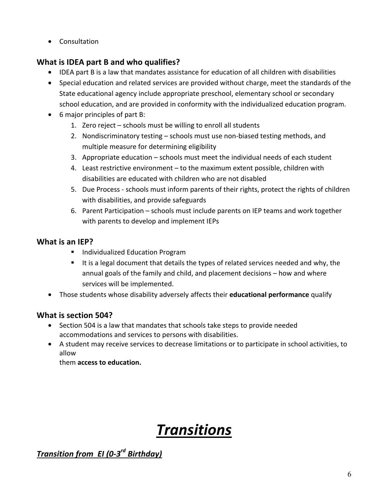• Consultation 

#### **What is IDEA part B and who qualifies?**

- IDEA part B is a law that mandates assistance for education of all children with disabilities
- Special education and related services are provided without charge, meet the standards of the State educational agency include appropriate preschool, elementary school or secondary school education, and are provided in conformity with the individualized education program.
- $\bullet$  6 major principles of part B:
	- 1. Zero reject  $-$  schools must be willing to enroll all students
	- 2. Nondiscriminatory testing schools must use non-biased testing methods, and multiple measure for determining eligibility
	- 3. Appropriate education  $-$  schools must meet the individual needs of each student
	- 4. Least restrictive environment to the maximum extent possible, children with disabilities are educated with children who are not disabled
	- 5. Due Process schools must inform parents of their rights, protect the rights of children with disabilities, and provide safeguards
	- 6. Parent Participation schools must include parents on IEP teams and work together with parents to develop and implement IEPs

#### **What is an IEP?**

- **Individualized Education Program**
- It is a legal document that details the types of related services needed and why, the annual goals of the family and child, and placement decisions  $-$  how and where services will be implemented.
- Those students whose disability adversely affects their **educational performance** qualify

#### **What is section 504?**

- $\bullet$  Section 504 is a law that mandates that schools take steps to provide needed accommodations and services to persons with disabilities.
- A student may receive services to decrease limitations or to participate in school activities, to allow

them **access to education.** 

## *Transitions*

*Transition 
 from 

 EI 
 (0-‐3rd Birthday)*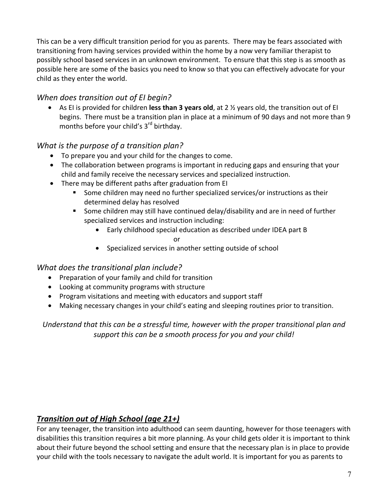This can be a very difficult transition period for you as parents. There may be fears associated with transitioning from having services provided within the home by a now very familiar therapist to possibly school based services in an unknown environment. To ensure that this step is as smooth as possible here are some of the basics you need to know so that you can effectively advocate for your child as they enter the world.

#### When does transition out of EI begin?

• As El is provided for children less than 3 years old, at 2 <sup>1/2</sup> years old, the transition out of El begins. There must be a transition plan in place at a minimum of 90 days and not more than 9 months before your child's  $3<sup>rd</sup>$  birthday.

#### **What** is the purpose of a transition plan?

- $\bullet$  To prepare you and your child for the changes to come.
- The collaboration between programs is important in reducing gaps and ensuring that your child and family receive the necessary services and specialized instruction.
- $\bullet$  There may be different paths after graduation from EI
	- Some children may need no further specialized services/or instructions as their determined delay has resolved
	- Some children may still have continued delay/disability and are in need of further specialized services and instruction including:
		- Early childhood special education as described under IDEA part B or
		- Specialized services in another setting outside of school

#### **What does the transitional plan include?**

- Preparation of your family and child for transition
- Looking at community programs with structure
- Program visitations and meeting with educators and support staff
- Making necessary changes in your child's eating and sleeping routines prior to transition.

Understand that this can be a stressful time, however with the proper transitional plan and support this can be a smooth process for you and your child!

#### *Transition out of High School (age 21+)*

For any teenager, the transition into adulthood can seem daunting, however for those teenagers with disabilities this transition requires a bit more planning. As your child gets older it is important to think about their future beyond the school setting and ensure that the necessary plan is in place to provide your child with the tools necessary to navigate the adult world. It is important for you as parents to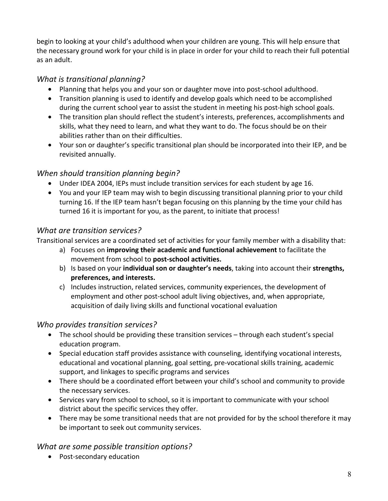begin to looking at your child's adulthood when your children are young. This will help ensure that the necessary ground work for your child is in place in order for your child to reach their full potential as an adult.

#### *What is transitional planning?*

- Planning that helps you and your son or daughter move into post-school adulthood.
- Transition planning is used to identify and develop goals which need to be accomplished during the current school year to assist the student in meeting his post-high school goals.
- The transition plan should reflect the student's interests, preferences, accomplishments and skills, what they need to learn, and what they want to do. The focus should be on their abilities rather than on their difficulties.
- Your son or daughter's specific transitional plan should be incorporated into their IEP, and be revisited annually.

#### When should transition planning begin?

- Under IDEA 2004, IEPs must include transition services for each student by age 16.
- You and your IEP team may wish to begin discussing transitional planning prior to your child turning 16. If the IEP team hasn't began focusing on this planning by the time your child has turned 16 it is important for you, as the parent, to initiate that process!

#### What are transition services?

Transitional services are a coordinated set of activities for your family member with a disability that:

- a) Focuses on *improving their academic and functional achievement* to facilitate the movement from school to **post-school activities.**
- b) Is based on your **individual son or daughter's needs**, taking into account their strengths, preferences, and interests.
- c) Includes instruction, related services, community experiences, the development of employment and other post-school adult living objectives, and, when appropriate, acquisition of daily living skills and functional vocational evaluation

#### **Who provides transition services?**

- The school should be providing these transition services  $-$  through each student's special education program.
- Special education staff provides assistance with counseling, identifying vocational interests, educational and vocational planning, goal setting, pre-vocational skills training, academic support, and linkages to specific programs and services
- There should be a coordinated effort between your child's school and community to provide the necessary services.
- Services vary from school to school, so it is important to communicate with your school district about the specific services they offer.
- There may be some transitional needs that are not provided for by the school therefore it may be important to seek out community services.

#### What are some possible transition options?

• Post-secondary education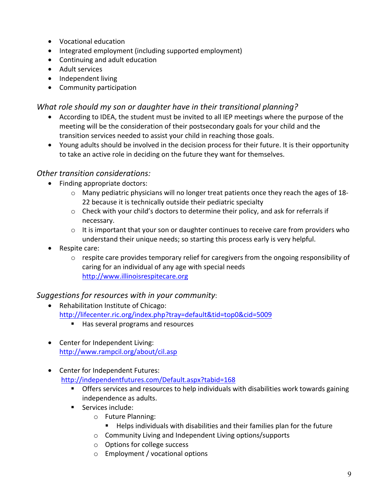- Vocational education
- Integrated employment (including supported employment)
- Continuing and adult education
- Adult services
- Independent living
- Community participation

#### What role should my son or daughter have in their transitional planning?

- According to IDEA, the student must be invited to all IEP meetings where the purpose of the meeting will be the consideration of their postsecondary goals for your child and the transition services needed to assist your child in reaching those goals.
- Young adults should be involved in the decision process for their future. It is their opportunity to take an active role in deciding on the future they want for themselves.

#### **Other transition considerations:**

- Finding appropriate doctors:
	- $\circ$  Many pediatric physicians will no longer treat patients once they reach the ages of 18-22 because it is technically outside their pediatric specialty
	- $\circ$  Check with your child's doctors to determine their policy, and ask for referrals if necessary.
	- $\circ$  It is important that your son or daughter continues to receive care from providers who understand their unique needs; so starting this process early is very helpful.
- Respite care:
	- $\circ$  respite care provides temporary relief for caregivers from the ongoing responsibility of caring for an individual of any age with special needs http://www.illinoisrespitecare.org

#### Suggestions for resources with in your community:

- Rehabilitation Institute of Chicago: http://lifecenter.ric.org/index.php?tray=default&tid=top0&cid=5009
	- Has several programs and resources
- Center for Independent Living: http://www.rampcil.org/about/cil.asp
- Center for Independent Futures: http://independentfutures.com/Default.aspx?tabid=168
	- **Theory individual Constructs** to help individuals with disabilities work towards gaining independence as adults.
	- **Services include:** 
		- o Future Planning:
			- Helps individuals with disabilities and their families plan for the future
		- $\circ$  Community Living and Independent Living options/supports
		- $\circ$  Options for college success
		- $\circ$  Employment / vocational options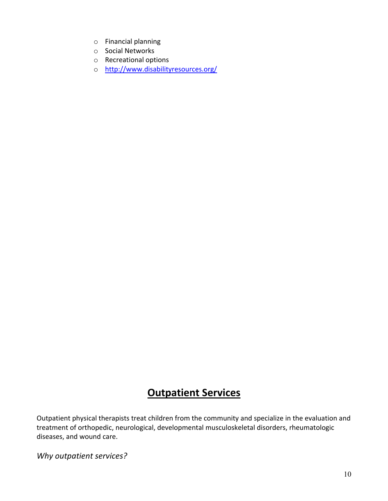- $\circ$  Financial planning
- o Social Networks
- $\circ$  Recreational options
- o http://www.disabilityresources.org/

## **Outpatient Services**

Outpatient physical therapists treat children from the community and specialize in the evaluation and treatment of orthopedic, neurological, developmental musculoskeletal disorders, rheumatologic diseases, and wound care.

Why outpatient services?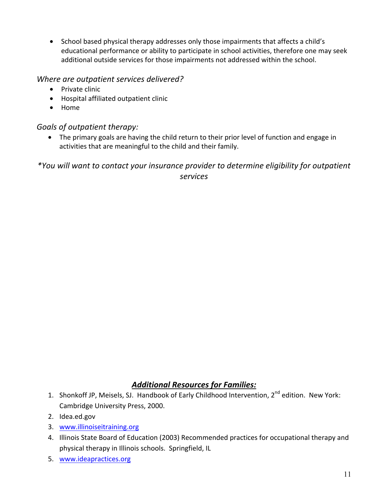• School based physical therapy addresses only those impairments that affects a child's educational performance or ability to participate in school activities, therefore one may seek additional outside services for those impairments not addressed within the school.

#### Where are outpatient services delivered?

- Private clinic
- $\bullet$  Hospital affiliated outpatient clinic
- Home

#### Goals of outpatient therapy:

• The primary goals are having the child return to their prior level of function and engage in activities that are meaningful to the child and their family.

\*You will want to contact your insurance provider to determine eligibility for outpatient *services*

#### **Additional Resources for Families:**

- 1. Shonkoff JP, Meisels, SJ. Handbook of Early Childhood Intervention, 2<sup>nd</sup> edition. New York: Cambridge University Press, 2000.
- 2. Idea.ed.gov
- 3. www.illinoiseitraining.org
- 4. Illinois State Board of Education (2003) Recommended practices for occupational therapy and physical therapy in Illinois schools. Springfield, IL
- 5. www.ideapractices.org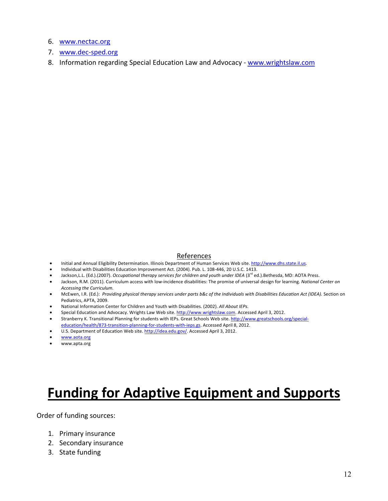- 6. www.nectac.org
- 7. www.dec-sped.org
- 8. Information regarding Special Education Law and Advocacy www.wrightslaw.com

#### References

- · Initial and Annual Eligibility Determination. Illinois Department of Human Services Web site. http://www.dhs.state.il.us.
- Individual with Disabilities Education Improvement Act. (2004). Pub. L. 108-446, 20 U.S.C. 1413.
- Jackson, L.L. (Ed.).(2007). Occupational therapy services for children and youth under IDEA (3<sup>rd</sup> ed.).Bethesda, MD: AOTA Press.
- Jackson, R.M. (2011). Curriculum access with low-incidence disabilities: The promise of universal design for learning. National Center on Accessing the Curriculum.
- McEwen, I.R. (Ed.): Providing physical therapy services under parts b&c of the Individuals with Disabilities Education Act (IDEA). Section on Pediatrics, APTA, 2009.
- National Information Center for Children and Youth with Disabilities. (2002). All About IEPs.
- Special Education and Advocacy. Wrights Law Web site. http://www.wrightslaw.com. Accessed April 3, 2012.
- Stranberry K. Transitional Planning for students with IEPs. Great Schools Web site. http://www.greatschools.org/specialeducation/health/873-transition-planning-for-students-with-ieps.gs. Accessed April 8, 2012.
- U.S. Department of Education Web site. http://idea.edu.gov/. Accessed April 3, 2012.
- www.aota.org
- www.apta.org

## **Funding for Adaptive Equipment and Supports**

Order of funding sources:

- 1. Primary insurance
- 2. Secondary insurance
- 3. State funding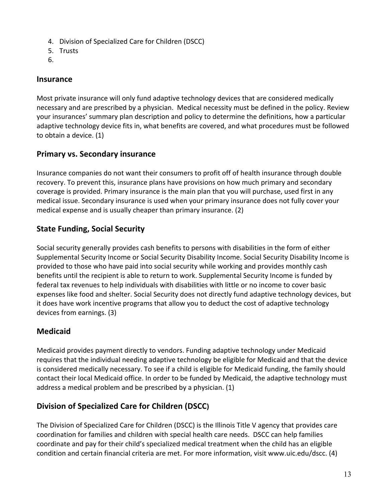- 4. Division of Specialized Care for Children (DSCC)
- 5. Trusts
- 6.

#### **Insurance**

Most private insurance will only fund adaptive technology devices that are considered medically necessary and are prescribed by a physician. Medical necessity must be defined in the policy. Review your insurances' summary plan description and policy to determine the definitions, how a particular adaptive technology device fits in, what benefits are covered, and what procedures must be followed to obtain a device. (1)

### **Primary vs. Secondary insurance**

Insurance companies do not want their consumers to profit off of health insurance through double recovery. To prevent this, insurance plans have provisions on how much primary and secondary coverage is provided. Primary insurance is the main plan that you will purchase, used first in any medical issue. Secondary insurance is used when your primary insurance does not fully cover your medical expense and is usually cheaper than primary insurance. (2)

### **State Funding, Social Security**

Social security generally provides cash benefits to persons with disabilities in the form of either Supplemental Security Income or Social Security Disability Income. Social Security Disability Income is provided to those who have paid into social security while working and provides monthly cash benefits until the recipient is able to return to work. Supplemental Security Income is funded by federal tax revenues to help individuals with disabilities with little or no income to cover basic expenses like food and shelter. Social Security does not directly fund adaptive technology devices, but it does have work incentive programs that allow you to deduct the cost of adaptive technology devices from earnings. (3)

### **Medicaid**

Medicaid provides payment directly to vendors. Funding adaptive technology under Medicaid requires that the individual needing adaptive technology be eligible for Medicaid and that the device is considered medically necessary. To see if a child is eligible for Medicaid funding, the family should contact their local Medicaid office. In order to be funded by Medicaid, the adaptive technology must address a medical problem and be prescribed by a physician. (1)

### **Division of Specialized Care for Children (DSCC)**

The Division of Specialized Care for Children (DSCC) is the Illinois Title V agency that provides care coordination for families and children with special health care needs. DSCC can help families coordinate and pay for their child's specialized medical treatment when the child has an eligible condition and certain financial criteria are met. For more information, visit www.uic.edu/dscc. (4)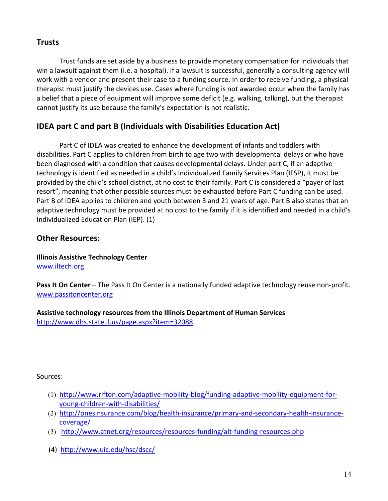#### **Trusts**

Trust funds are set aside by a business to provide monetary compensation for individuals that win a lawsuit against them (i.e. a hospital). If a lawsuit is successful, generally a consulting agency will work with a vendor and present their case to a funding source. In order to receive funding, a physical therapist must justify the devices use. Cases where funding is not awarded occur when the family has a belief that a piece of equipment will improve some deficit (e.g. walking, talking), but the therapist cannot justify its use because the family's expectation is not realistic.

#### **IDEA** part C and part B (Individuals with Disabilities Education Act)

Part C of IDEA was created to enhance the development of infants and toddlers with disabilities. Part C applies to children from birth to age two with developmental delays or who have been diagnosed with a condition that causes developmental delays. Under part C, if an adaptive technology is identified as needed in a child's Individualized Family Services Plan (IFSP), it must be provided by the child's school district, at no cost to their family. Part C is considered a "payer of last resort", meaning that other possible sources must be exhausted before Part C funding can be used. Part B of IDEA applies to children and youth between 3 and 21 years of age. Part B also states that an adaptive technology must be provided at no cost to the family if it is identified and needed in a child's Individualized Education Plan (IEP). (1)

#### **Other Resources:**

**Illinois Assistive Technology Center** www.iltech.org

**Pass It On Center** – The Pass It On Center is a nationally funded adaptive technology reuse non-profit. www.passitoncenter.org

#### Assistive technology resources from the Illinois Department of Human Services http://www.dhs.state.il.us/page.aspx?item=32088

Sources:

- (1) http://www.rifton.com/adaptive-mobility-blog/funding-adaptive-mobility-equipment-foryoung-children-with-disabilities/
- (2) http://onesinsurance.com/blog/health-insurance/primary-and-secondary-health-insurancecoverage/
- (3) http://www.atnet.org/resources/resources-funding/alt-funding-resources.php
- (4) http://www.uic.edu/hsc/dscc/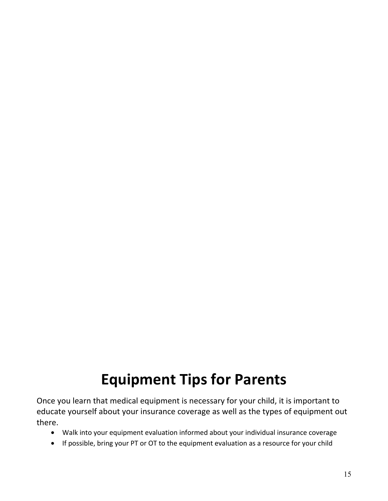## **Equipment Tips for Parents**

Once you learn that medical equipment is necessary for your child, it is important to educate yourself about your insurance coverage as well as the types of equipment out there.

- Walk into your equipment evaluation informed about your individual insurance coverage
- If possible, bring your PT or OT to the equipment evaluation as a resource for your child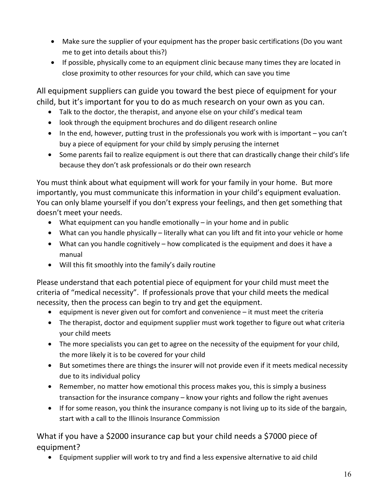- Make sure the supplier of your equipment has the proper basic certifications (Do you want me to get into details about this?)
- If possible, physically come to an equipment clinic because many times they are located in close proximity to other resources for your child, which can save you time

All equipment suppliers can guide you toward the best piece of equipment for your child, but it's important for you to do as much research on your own as you can.

- Talk to the doctor, the therapist, and anyone else on your child's medical team
- look through the equipment brochures and do diligent research online
- $\bullet$  In the end, however, putting trust in the professionals you work with is important  $-\gamma$  you can't buy a piece of equipment for your child by simply perusing the internet
- Some parents fail to realize equipment is out there that can drastically change their child's life because they don't ask professionals or do their own research

You must think about what equipment will work for your family in your home. But more importantly, you must communicate this information in your child's equipment evaluation. You can only blame yourself if you don't express your feelings, and then get something that doesn't meet your needs.

- What equipment can you handle emotionally  $-$  in your home and in public
- What can you handle physically  $-$  literally what can you lift and fit into your vehicle or home
- What can you handle cognitively  $-$  how complicated is the equipment and does it have a manual
- Will this fit smoothly into the family's daily routine

Please understand that each potential piece of equipment for your child must meet the criteria of "medical necessity". If professionals prove that your child meets the medical necessity, then the process can begin to try and get the equipment.

- equipment is never given out for comfort and convenience  $-$  it must meet the criteria
- The therapist, doctor and equipment supplier must work together to figure out what criteria your child meets
- The more specialists you can get to agree on the necessity of the equipment for your child, the more likely it is to be covered for your child
- But sometimes there are things the insurer will not provide even if it meets medical necessity due to its individual policy
- Remember, no matter how emotional this process makes you, this is simply a business transaction for the insurance company  $-$  know your rights and follow the right avenues
- $\bullet$  If for some reason, you think the insurance company is not living up to its side of the bargain, start with a call to the Illinois Insurance Commission

What if you have a \$2000 insurance cap but your child needs a \$7000 piece of equipment?

• Equipment supplier will work to try and find a less expensive alternative to aid child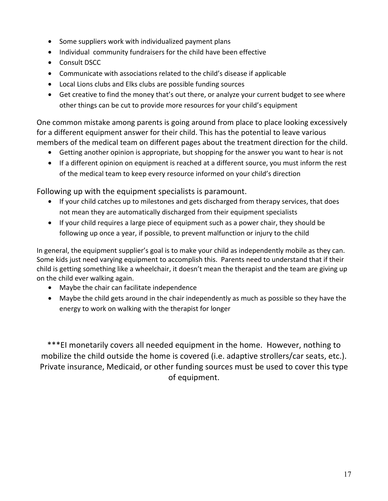- Some suppliers work with individualized payment plans
- Individual community fundraisers for the child have been effective
- Consult DSCC
- Communicate with associations related to the child's disease if applicable
- Local Lions clubs and Elks clubs are possible funding sources
- Get creative to find the money that's out there, or analyze your current budget to see where other things can be cut to provide more resources for your child's equipment

One common mistake among parents is going around from place to place looking excessively for a different equipment answer for their child. This has the potential to leave various members of the medical team on different pages about the treatment direction for the child.

- Getting another opinion is appropriate, but shopping for the answer you want to hear is not
- If a different opinion on equipment is reached at a different source, you must inform the rest of the medical team to keep every resource informed on your child's direction

Following up with the equipment specialists is paramount.

- If your child catches up to milestones and gets discharged from therapy services, that does not mean they are automatically discharged from their equipment specialists
- $\bullet$  If your child requires a large piece of equipment such as a power chair, they should be following up once a year, if possible, to prevent malfunction or injury to the child

In general, the equipment supplier's goal is to make your child as independently mobile as they can. Some kids just need varying equipment to accomplish this. Parents need to understand that if their child is getting something like a wheelchair, it doesn't mean the therapist and the team are giving up on the child ever walking again.

- Maybe the chair can facilitate independence
- Maybe the child gets around in the chair independently as much as possible so they have the energy to work on walking with the therapist for longer

\*\*\*EI monetarily covers all needed equipment in the home. However, nothing to mobilize the child outside the home is covered (i.e. adaptive strollers/car seats, etc.). Private insurance, Medicaid, or other funding sources must be used to cover this type of equipment.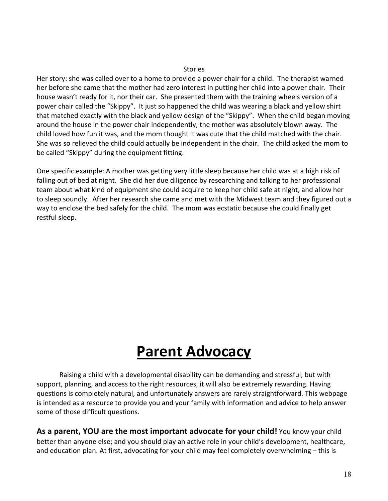#### Stories

Her story: she was called over to a home to provide a power chair for a child. The therapist warned her before she came that the mother had zero interest in putting her child into a power chair. Their house wasn't ready for it, nor their car. She presented them with the training wheels version of a power chair called the "Skippy". It just so happened the child was wearing a black and yellow shirt that matched exactly with the black and yellow design of the "Skippy". When the child began moving around the house in the power chair independently, the mother was absolutely blown away. The child loved how fun it was, and the mom thought it was cute that the child matched with the chair. She was so relieved the child could actually be independent in the chair. The child asked the mom to be called "Skippy" during the equipment fitting.

One specific example: A mother was getting very little sleep because her child was at a high risk of falling out of bed at night. She did her due diligence by researching and talking to her professional team about what kind of equipment she could acquire to keep her child safe at night, and allow her to sleep soundly. After her research she came and met with the Midwest team and they figured out a way to enclose the bed safely for the child. The mom was ecstatic because she could finally get restful sleep.

## **Parent Advocacy**

Raising a child with a developmental disability can be demanding and stressful; but with support, planning, and access to the right resources, it will also be extremely rewarding. Having questions is completely natural, and unfortunately answers are rarely straightforward. This webpage is intended as a resource to provide you and your family with information and advice to help answer some of those difficult questions.

As a parent, YOU are the most important advocate for your child! You know your child better than anyone else; and you should play an active role in your child's development, healthcare, and education plan. At first, advocating for your child may feel completely overwhelming - this is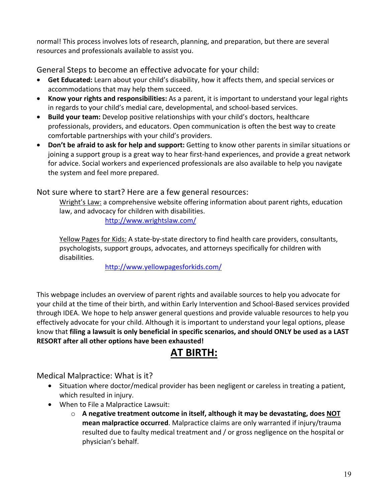normal! This process involves lots of research, planning, and preparation, but there are several resources and professionals available to assist you.

General Steps to become an effective advocate for your child:

- Get Educated: Learn about your child's disability, how it affects them, and special services or accommodations that may help them succeed.
- Know your rights and responsibilities: As a parent, it is important to understand your legal rights in regards to your child's medial care, developmental, and school-based services.
- Build your team: Develop positive relationships with your child's doctors, healthcare professionals, providers, and educators. Open communication is often the best way to create comfortable partnerships with your child's providers.
- Don't be afraid to ask for help and support: Getting to know other parents in similar situations or joining a support group is a great way to hear first-hand experiences, and provide a great network for advice. Social workers and experienced professionals are also available to help you navigate the system and feel more prepared.

#### Not sure where to start? Here are a few general resources:

Wright's Law: a comprehensive website offering information about parent rights, education law, and advocacy for children with disabilities.

http://www.wrightslaw.com/

Yellow Pages for Kids: A state-by-state directory to find health care providers, consultants, psychologists, support groups, advocates, and attorneys specifically for children with disabilities. 

http://www.yellowpagesforkids.com/

This webpage includes an overview of parent rights and available sources to help you advocate for your child at the time of their birth, and within Early Intervention and School-Based services provided through IDEA. We hope to help answer general questions and provide valuable resources to help you effectively advocate for your child. Although it is important to understand your legal options, please know that filing a lawsuit is only beneficial in specific scenarios, and should ONLY be used as a LAST **RESORT** after all other options have been exhausted!

## **AT BIRTH:**

Medical Malpractice: What is it?

- Situation where doctor/medical provider has been negligent or careless in treating a patient, which resulted in injury.
- When to File a Malpractice Lawsuit:
	- o A negative treatment outcome in itself, although it may be devastating, does NOT **mean malpractice occurred**. Malpractice claims are only warranted if injury/trauma resulted due to faulty medical treatment and / or gross negligence on the hospital or physician's behalf.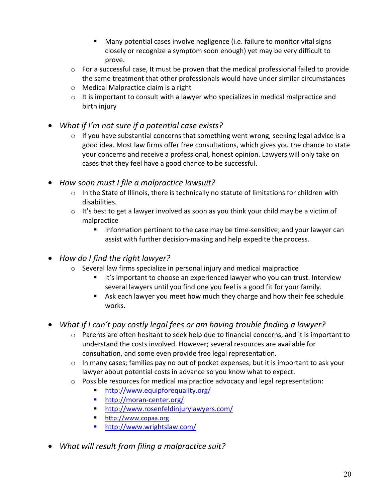- **•** Many potential cases involve negligence (i.e. failure to monitor vital signs closely or recognize a symptom soon enough) yet may be very difficult to prove.
- $\circ$  For a successful case, It must be proven that the medical professional failed to provide the same treatment that other professionals would have under similar circumstances
- $\circ$  Medical Malpractice claim is a right
- $\circ$  It is important to consult with a lawyer who specializes in medical malpractice and birth injury
- What if I'm not sure if a potential case exists?
	- $\circ$  If you have substantial concerns that something went wrong, seeking legal advice is a good idea. Most law firms offer free consultations, which gives you the chance to state your concerns and receive a professional, honest opinion. Lawyers will only take on cases that they feel have a good chance to be successful.
- How soon must I file a malpractice lawsuit?
	- $\circ$  In the State of Illinois, there is technically no statute of limitations for children with disabilities.
	- $\circ$  It's best to get a lawyer involved as soon as you think your child may be a victim of malpractice
		- Information pertinent to the case may be time-sensitive; and your lawyer can assist with further decision-making and help expedite the process.
- How do I find the right lawyer?
	- $\circ$  Several law firms specialize in personal injury and medical malpractice
		- It's important to choose an experienced lawyer who you can trust. Interview several lawyers until you find one you feel is a good fit for your family.
		- **Solut** Ask each lawyer you meet how much they charge and how their fee schedule works.
- What if I can't pay costly legal fees or am having trouble finding a lawyer?
	- $\circ$  Parents are often hesitant to seek help due to financial concerns, and it is important to understand the costs involved. However; several resources are available for consultation, and some even provide free legal representation.
	- $\circ$  In many cases; families pay no out of pocket expenses; but it is important to ask your lawyer about potential costs in advance so you know what to expect.
	- $\circ$  Possible resources for medical malpractice advocacy and legal representation:
		- http://www.equipforequality.org/
		- http://moran-center.org/
		- http://www.rosenfeldinjurylawyers.com/
		- http://www.copaa.org
		- http://www.wrightslaw.com/
- What will result from filing a malpractice suit?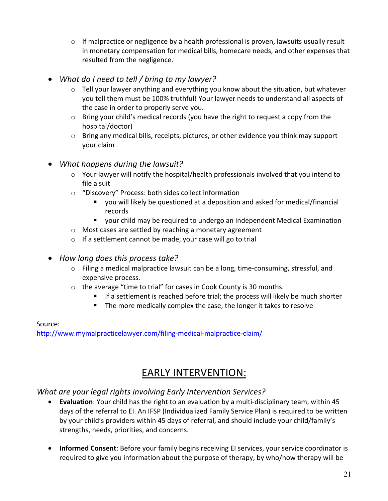- $\circ$  If malpractice or negligence by a health professional is proven, lawsuits usually result in monetary compensation for medical bills, homecare needs, and other expenses that resulted from the negligence.
- What do I need to tell / bring to my lawyer?
	- $\circ$  Tell your lawyer anything and everything you know about the situation, but whatever you tell them must be 100% truthful! Your lawyer needs to understand all aspects of the case in order to properly serve you.
	- $\circ$  Bring your child's medical records (you have the right to request a copy from the hospital/doctor)
	- $\circ$  Bring any medical bills, receipts, pictures, or other evidence you think may support your claim

#### • What happens during the lawsuit?

- $\circ$  Your lawyer will notify the hospital/health professionals involved that you intend to file a suit
- o "Discovery" Process: both sides collect information
	- " you will likely be questioned at a deposition and asked for medical/financial records
	- " your child may be required to undergo an Independent Medical Examination
- $\circ$  Most cases are settled by reaching a monetary agreement
- $\circ$  If a settlement cannot be made, your case will go to trial
- How long does this process take?
	- $\circ$  Filing a medical malpractice lawsuit can be a long, time-consuming, stressful, and expensive process.
	- $\circ$  the average "time to trial" for cases in Cook County is 30 months.
		- $\blacksquare$  If a settlement is reached before trial; the process will likely be much shorter
		- **The more medically complex the case; the longer it takes to resolve**

#### Source: 
 http://www.mymalpracticelawyer.com/filing-medical-malpractice-claim/

## EARLY INTERVENTION:

#### What are your legal rights involving Early Intervention Services?

- **Evaluation**: Your child has the right to an evaluation by a multi-disciplinary team, within 45 days of the referral to EI. An IFSP (Individualized Family Service Plan) is required to be written by your child's providers within 45 days of referral, and should include your child/family's strengths, needs, priorities, and concerns.
- Informed Consent: Before your family begins receiving EI services, your service coordinator is required to give you information about the purpose of therapy, by who/how therapy will be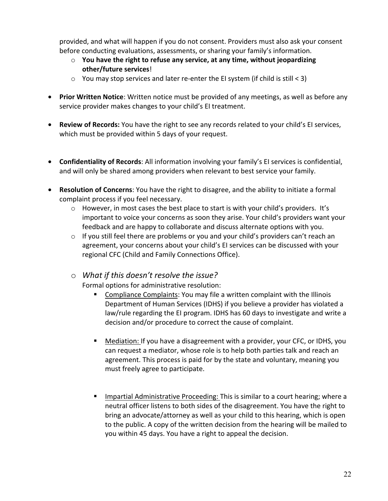provided, and what will happen if you do not consent. Providers must also ask your consent before conducting evaluations, assessments, or sharing your family's information.

- $\circ$  You have the right to refuse any service, at any time, without jeopardizing **other/future services!**
- $\circ$  You may stop services and later re-enter the EI system (if child is still < 3)
- Prior Written Notice: Written notice must be provided of any meetings, as well as before any service provider makes changes to your child's EI treatment.
- Review of Records: You have the right to see any records related to your child's El services, which must be provided within 5 days of your request.
- **Confidentiality of Records:** All information involving your family's EI services is confidential, and will only be shared among providers when relevant to best service your family.
- Resolution of Concerns: You have the right to disagree, and the ability to initiate a formal complaint process if you feel necessary.
	- $\circ$  However, in most cases the best place to start is with your child's providers. It's important to voice your concerns as soon they arise. Your child's providers want your feedback and are happy to collaborate and discuss alternate options with you.
	- $\circ$  If you still feel there are problems or you and your child's providers can't reach an agreement, your concerns about your child's EI services can be discussed with your regional CFC (Child and Family Connections Office).
	- $\circ$  What if this doesn't resolve the issue?

Formal options for administrative resolution:

- **EXECOMPLAINE:** You may file a written complaint with the Illinois Department of Human Services (IDHS) if you believe a provider has violated a law/rule regarding the EI program. IDHS has 60 days to investigate and write a decision and/or procedure to correct the cause of complaint.
- **Mediation:** If you have a disagreement with a provider, your CFC, or IDHS, you can request a mediator, whose role is to help both parties talk and reach an agreement. This process is paid for by the state and voluntary, meaning you must freely agree to participate.
- **Impartial Administrative Proceeding: This is similar to a court hearing; where a** neutral officer listens to both sides of the disagreement. You have the right to bring an advocate/attorney as well as your child to this hearing, which is open to the public. A copy of the written decision from the hearing will be mailed to you within 45 days. You have a right to appeal the decision.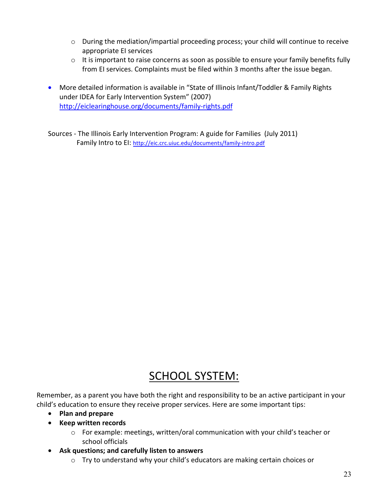- $\circ$  During the mediation/impartial proceeding process; your child will continue to receive appropriate EI services
- $\circ$  It is important to raise concerns as soon as possible to ensure your family benefits fully from EI services. Complaints must be filed within 3 months after the issue began.
- More detailed information is available in "State of Illinois Infant/Toddler & Family Rights under IDEA for Early Intervention System" (2007) http://eiclearinghouse.org/documents/family-rights.pdf

Sources - The Illinois Early Intervention Program: A guide for Families (July 2011) Family Intro to EI: http://eic.crc.uiuc.edu/documents/family-intro.pdf

## SCHOOL SYSTEM:

Remember, as a parent you have both the right and responsibility to be an active participant in your child's education to ensure they receive proper services. Here are some important tips:

- Plan and prepare
- Keep written records
	- $\circ$  For example: meetings, written/oral communication with your child's teacher or school officials
- Ask questions; and carefully listen to answers
	- o Try to understand why your child's educators are making certain choices or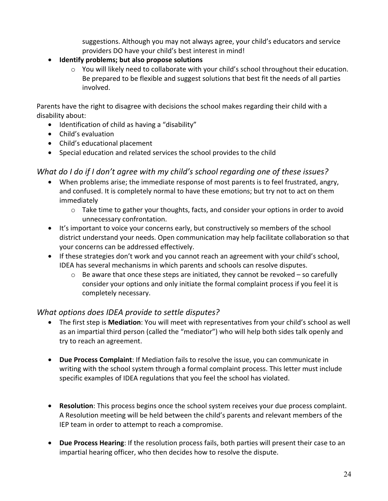suggestions. Although you may not always agree, your child's educators and service providers DO have your child's best interest in mind!

- Identify problems; but also propose solutions
	- o You will likely need to collaborate with your child's school throughout their education. Be prepared to be flexible and suggest solutions that best fit the needs of all parties involved.

Parents have the right to disagree with decisions the school makes regarding their child with a disability about:

- Identification of child as having a "disability"
- Child's evaluation
- Child's educational placement
- Special education and related services the school provides to the child

#### What do I do if I don't agree with my child's school regarding one of these issues?

- When problems arise; the immediate response of most parents is to feel frustrated, angry, and confused. It is completely normal to have these emotions; but try not to act on them immediately
	- $\circ$  Take time to gather your thoughts, facts, and consider your options in order to avoid unnecessary confrontation.
- It's important to voice your concerns early, but constructively so members of the school district understand your needs. Open communication may help facilitate collaboration so that your concerns can be addressed effectively.
- $\bullet$  If these strategies don't work and you cannot reach an agreement with your child's school, IDEA has several mechanisms in which parents and schools can resolve disputes.
	- $\circ$  Be aware that once these steps are initiated, they cannot be revoked so carefully consider your options and only initiate the formal complaint process if you feel it is completely necessary.

#### What options does IDEA provide to settle disputes?

- The first step is **Mediation**: You will meet with representatives from your child's school as well as an impartial third person (called the "mediator") who will help both sides talk openly and try to reach an agreement.
- Due Process Complaint: If Mediation fails to resolve the issue, you can communicate in writing with the school system through a formal complaint process. This letter must include specific examples of IDEA regulations that you feel the school has violated.
- Resolution: This process begins once the school system receives your due process complaint. A Resolution meeting will be held between the child's parents and relevant members of the IEP team in order to attempt to reach a compromise.
- Due Process Hearing: If the resolution process fails, both parties will present their case to an impartial hearing officer, who then decides how to resolve the dispute.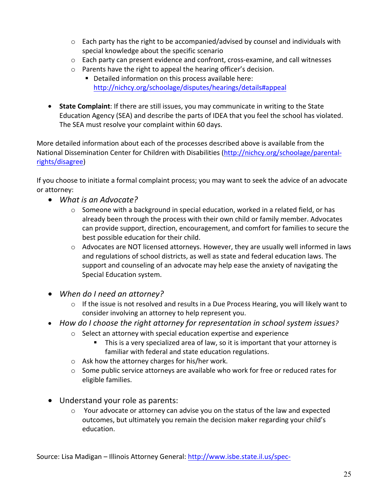- $\circ$  Each party has the right to be accompanied/advised by counsel and individuals with special knowledge about the specific scenario
- $\circ$  Each party can present evidence and confront, cross-examine, and call witnesses
- $\circ$  Parents have the right to appeal the hearing officer's decision.
	- **•** Detailed information on this process available here: http://nichcy.org/schoolage/disputes/hearings/details#appeal
- State Complaint: If there are still issues, you may communicate in writing to the State Education Agency (SEA) and describe the parts of IDEA that you feel the school has violated. The SEA must resolve your complaint within 60 days.

More detailed information about each of the processes described above is available from the National Dissemination Center for Children with Disabilities (http://nichcy.org/schoolage/parentalrights/disagree) 

If you choose to initiate a formal complaint process; you may want to seek the advice of an advocate or attorney:

- What is an Advocate?
	- $\circ$  Someone with a background in special education, worked in a related field, or has already been through the process with their own child or family member. Advocates can provide support, direction, encouragement, and comfort for families to secure the best possible education for their child.
	- $\circ$  Advocates are NOT licensed attorneys. However, they are usually well informed in laws and regulations of school districts, as well as state and federal education laws. The support and counseling of an advocate may help ease the anxiety of navigating the Special Education system.
- When do I need an attorney?
	- $\circ$  If the issue is not resolved and results in a Due Process Hearing, you will likely want to consider involving an attorney to help represent you.
- How do I choose the right attorney for representation in school system issues?
	- $\circ$  Select an attorney with special education expertise and experience
		- **This is a very specialized area of law, so it is important that your attorney is** familiar with federal and state education regulations.
	- $\circ$  Ask how the attorney charges for his/her work.
	- $\circ$  Some public service attorneys are available who work for free or reduced rates for eligible families.
- Understand your role as parents:
	- $\circ$  Your advocate or attorney can advise you on the status of the law and expected outcomes, but ultimately you remain the decision maker regarding your child's education.

Source: Lisa Madigan - Illinois Attorney General: http://www.isbe.state.il.us/spec-